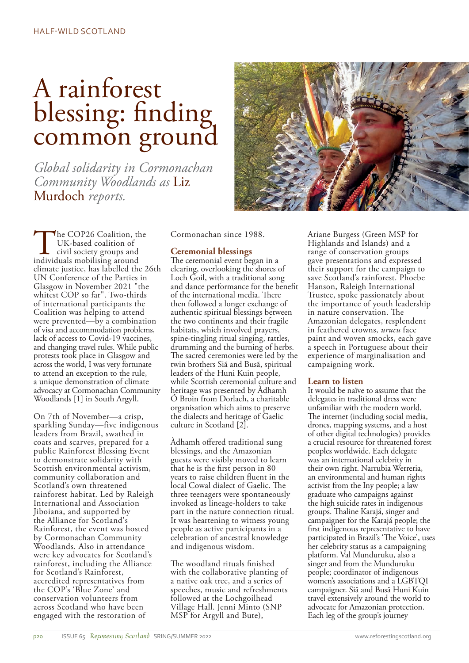# A rainforest blessing: finding common ground

*Global solidarity in Cormonachan Community Woodlands as* Liz Murdoch *reports.*

The COP26 Coalition, the UK-based coalition of<br>civil society groups and<br>individuals mobilising around UK-based coalition of civil society groups and climate justice, has labelled the 26th UN Conference of the Parties in Glasgow in November 2021 "the whitest COP so far". Two-thirds of international participants the Coalition was helping to attend were prevented—by a combination of visa and accommodation problems, lack of access to Covid-19 vaccines, and changing travel rules. While public protests took place in Glasgow and across the world, I was very fortunate to attend an exception to the rule, a unique demonstration of climate advocacy at Cormonachan Community Woodlands [1] in South Argyll.

On 7th of November—a crisp, sparkling Sunday—five indigenous leaders from Brazil, swathed in coats and scarves, prepared for a public Rainforest Blessing Event to demonstrate solidarity with Scottish environmental activism, community collaboration and Scotland's own threatened rainforest habitat. Led by Raleigh International and Association Jiboiana, and supported by the Alliance for Scotland's Rainforest, the event was hosted by Cormonachan Community Woodlands. Also in attendance were key advocates for Scotland's rainforest, including the Alliance for Scotland's Rainforest, accredited representatives from the COP's 'Blue Zone' and conservation volunteers from across Scotland who have been engaged with the restoration of

Cormonachan since 1988.

## **Ceremonial blessings**

The ceremonial event began in a clearing, overlooking the shores of Loch Goil, with a traditional song and dance performance for the benefit of the international media. There then followed a longer exchange of authentic spiritual blessings between the two continents and their fragile habitats, which involved prayers, spine-tingling ritual singing, rattles, drumming and the burning of herbs. The sacred ceremonies were led by the twin brothers Siã and Busã, spiritual leaders of the Huni Kuin people, while Scottish ceremonial culture and heritage was presented by Àdhamh Ó Broin from Dorlach, a charitable organisation which aims to preserve the dialects and heritage of Gaelic culture in Scotland [2].

Àdhamh offered traditional sung blessings, and the Amazonian guests were visibly moved to learn that he is the first person in 80 years to raise children fluent in the local Cowal dialect of Gaelic. The three teenagers were spontaneously invoked as lineage-holders to take part in the nature connection ritual. It was heartening to witness young people as active participants in a celebration of ancestral knowledge and indigenous wisdom.

The woodland rituals finished with the collaborative planting of a native oak tree, and a series of speeches, music and refreshments followed at the Lochgoilhead Village Hall. Jenni Minto (SNP MSP for Argyll and Bute),



Ariane Burgess (Green MSP for Highlands and Islands) and a range of conservation groups gave presentations and expressed their support for the campaign to save Scotland's rainforest. Phoebe Hanson, Raleigh International Trustee, spoke passionately about the importance of youth leadership in nature conservation. The Amazonian delegates, resplendent in feathered crowns, *urucu* face paint and woven smocks, each gave a speech in Portuguese about their experience of marginalisation and campaigning work.

### **Learn to listen**

It would be naïve to assume that the delegates in traditional dress were unfamiliar with the modern world. The internet (including social media, drones, mapping systems, and a host of other digital technologies) provides a crucial resource for threatened forest peoples worldwide. Each delegate was an international celebrity in their own right. Narrubia Werreria, an environmental and human rights activist from the Iny people; a law graduate who campaigns against the high suicide rates in indigenous groups. Thaline Karajá, singer and campaigner for the Karajá people; the first indigenous representative to have participated in Brazil's 'The Voice', uses her celebrity status as a campaigning platform. Val Munduruku, also a singer and from the Munduruku people; coordinator of indigenous women's associations and a LGBTQI campaigner. Siã and Busã Huni Kuin travel extensively around the world to advocate for Amazonian protection. Each leg of the group's journey